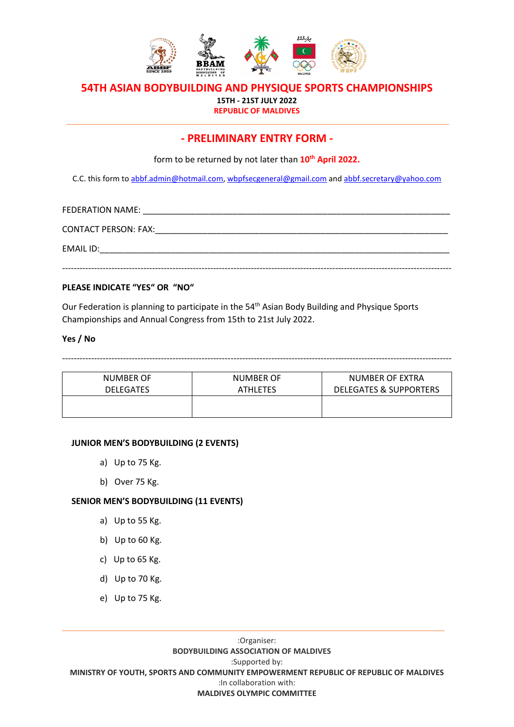

**15TH - 21ST JULY 2022 REPUBLIC OF MALDIVES**

# **- PRELIMINARY ENTRY FORM -**

form to be returned by not later than **10th April 2022.**

C.C. this form to [abbf.admin@hotmail.com,](mailto:abbf.admin@hotmail.com) wbpfsecgeneral@gmail.com and [abbf.secretary@yahoo.com](mailto:abbf.secretary@yahoo.com)

FEDERATION NAME: **EXAMPLE** CONTACT PERSON: FAX:\_\_\_\_\_\_\_\_\_\_\_\_\_\_\_\_\_\_\_\_\_\_\_\_\_\_\_\_\_\_\_\_\_\_\_\_\_\_\_\_\_\_\_\_\_\_\_\_\_\_\_\_\_\_\_\_\_\_\_\_\_\_ EMAIL ID: --------------------------------------------------------------------------------------------------------------------------------------

## **PLEASE INDICATE "YES" OR "NO"**

Our Federation is planning to participate in the 54<sup>th</sup> Asian Body Building and Physique Sports Championships and Annual Congress from 15th to 21st July 2022.

## **Yes / No**

--------------------------------------------------------------------------------------------------------------------------------------

| NUMBER OF        | <b>NUMBER OF</b> | NUMBER OF EXTRA                   |  |
|------------------|------------------|-----------------------------------|--|
| <b>DELEGATES</b> | <b>ATHLETES</b>  | <b>DELEGATES &amp; SUPPORTERS</b> |  |
|                  |                  |                                   |  |
|                  |                  |                                   |  |

#### **JUNIOR MEN'S BODYBUILDING (2 EVENTS)**

- a) Up to 75 Kg.
- b) Over 75 Kg.

## **SENIOR MEN'S BODYBUILDING (11 EVENTS)**

- a) Up to 55 Kg.
- b) Up to 60 Kg.
- c) Up to 65 Kg.
- d) Up to 70 Kg.
- e) Up to 75 Kg.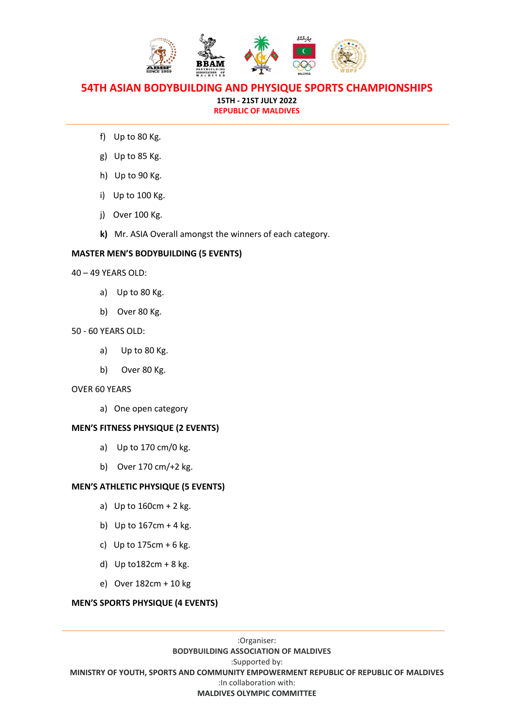

**15TH - 21ST JULY 2022 REPUBLIC OF MALDIVES**

- f) Up to 80 Kg.
- g) Up to 85 Kg.
- h) Up to 90 Kg.
- i) Up to 100 Kg.
- j) Over 100 Kg.
- **k)** Mr. ASIA Overall amongst the winners of each category.

## **MASTER MEN'S BODYBUILDING (5 EVENTS)**

- 40 49 YEARS OLD:
	- a) Up to 80 Kg.
	- b) Over 80 Kg.

#### 50 - 60 YEARS OLD:

- a) Up to 80 Kg.
- b) Over 80 Kg.

#### OVER 60 YEARS

a) One open category

## **MEN'S FITNESS PHYSIQUE (2 EVENTS)**

- a) Up to 170 cm/0 kg.
- b) Over 170 cm/+2 kg.

#### **MEN'S ATHLETIC PHYSIQUE (5 EVENTS)**

- a) Up to 160cm + 2 kg.
- b) Up to  $167cm + 4$  kg.
- c) Up to  $175cm + 6$  kg.
- d) Up to182cm + 8 kg.
- e) Over 182cm + 10 kg

## **MEN'S SPORTS PHYSIQUE (4 EVENTS)**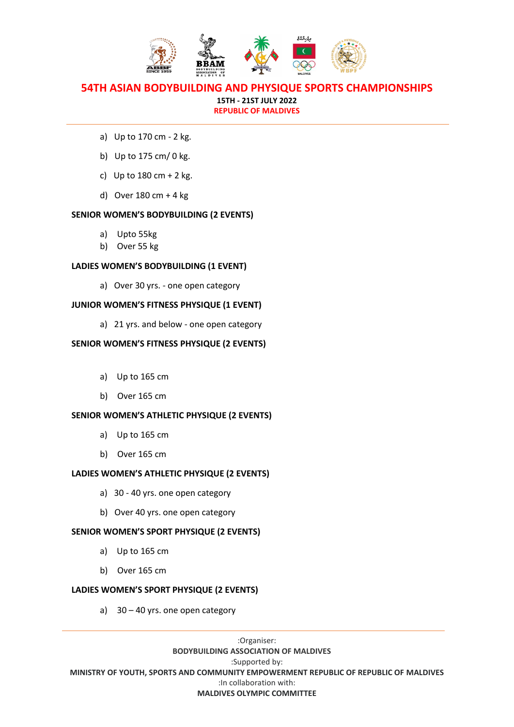

**15TH - 21ST JULY 2022 REPUBLIC OF MALDIVES**

- a) Up to 170 cm 2 kg.
- b) Up to 175 cm/ 0 kg.
- c) Up to  $180$  cm + 2 kg.
- d) Over 180 cm + 4 kg

## **SENIOR WOMEN'S BODYBUILDING (2 EVENTS)**

- a) Upto 55kg
- b) Over 55 kg

## **LADIES WOMEN'S BODYBUILDING (1 EVENT)**

a) Over 30 yrs. - one open category

## **JUNIOR WOMEN'S FITNESS PHYSIQUE (1 EVENT)**

a) 21 yrs. and below - one open category

## **SENIOR WOMEN'S FITNESS PHYSIQUE (2 EVENTS)**

- a) Up to 165 cm
- b) Over 165 cm

## **SENIOR WOMEN'S ATHLETIC PHYSIQUE (2 EVENTS)**

- a) Up to 165 cm
- b) Over 165 cm

## **LADIES WOMEN'S ATHLETIC PHYSIQUE (2 EVENTS)**

- a) 30 40 yrs. one open category
- b) Over 40 yrs. one open category

## **SENIOR WOMEN'S SPORT PHYSIQUE (2 EVENTS)**

- a) Up to 165 cm
- b) Over 165 cm

## **LADIES WOMEN'S SPORT PHYSIQUE (2 EVENTS)**

a) 30 – 40 yrs. one open category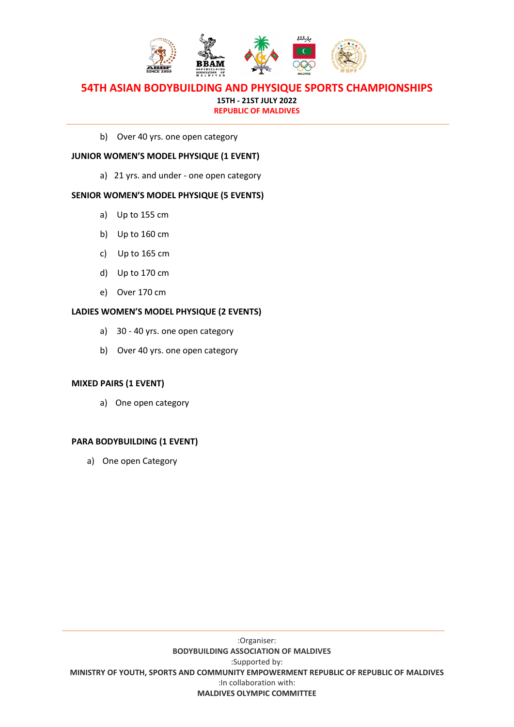

## **54TH ASIAN BODYBUILDING AND PHYSIQUE SPORTS CHAMPIONSHIPS 15TH - 21ST JULY 2022**

**REPUBLIC OF MALDIVES**

b) Over 40 yrs. one open category

## **JUNIOR WOMEN'S MODEL PHYSIQUE (1 EVENT)**

a) 21 yrs. and under - one open category

## **SENIOR WOMEN'S MODEL PHYSIQUE (5 EVENTS)**

- a) Up to 155 cm
- b) Up to 160 cm
- c) Up to 165 cm
- d) Up to 170 cm
- e) Over 170 cm

## **LADIES WOMEN'S MODEL PHYSIQUE (2 EVENTS)**

- a) 30 40 yrs. one open category
- b) Over 40 yrs. one open category

## **MIXED PAIRS (1 EVENT)**

a) One open category

## **PARA BODYBUILDING (1 EVENT)**

a) One open Category